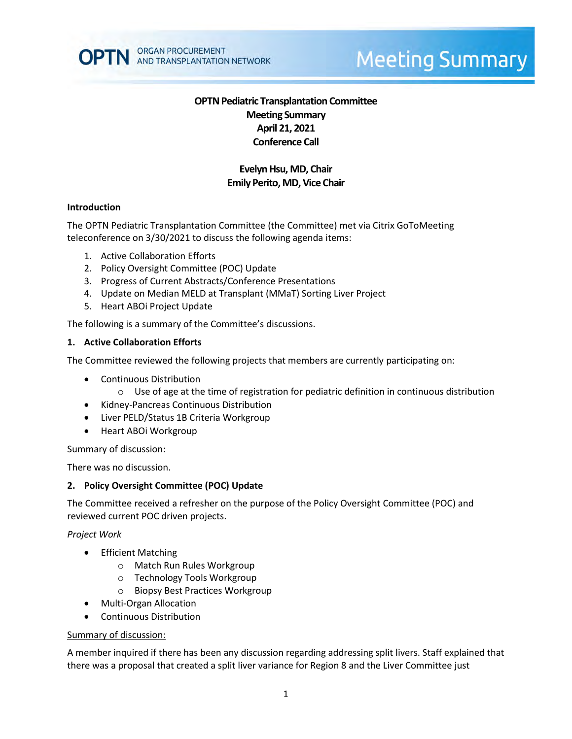

# **Meeting Summary**

# **OPTN Pediatric Transplantation Committee Meeting Summary April 21, 2021 Conference Call**

# **Evelyn Hsu, MD, Chair Emily Perito, MD, Vice Chair**

### **Introduction**

The OPTN Pediatric Transplantation Committee (the Committee) met via Citrix GoToMeeting teleconference on 3/30/2021 to discuss the following agenda items:

- 1. Active Collaboration Efforts
- 2. Policy Oversight Committee (POC) Update
- 3. Progress of Current Abstracts/Conference Presentations
- 4. Update on Median MELD at Transplant (MMaT) Sorting Liver Project
- 5. Heart ABOi Project Update

The following is a summary of the Committee's discussions.

#### **1. Active Collaboration Efforts**

The Committee reviewed the following projects that members are currently participating on:

- Continuous Distribution
	- $\circ$  Use of age at the time of registration for pediatric definition in continuous distribution
- Kidney-Pancreas Continuous Distribution
- Liver PELD/Status 1B Criteria Workgroup
- Heart ABOi Workgroup

#### Summary of discussion:

There was no discussion.

#### **2. Policy Oversight Committee (POC) Update**

The Committee received a refresher on the purpose of the Policy Oversight Committee (POC) and reviewed current POC driven projects.

#### *Project Work*

- **•** Efficient Matching
	- o Match Run Rules Workgroup
	- o Technology Tools Workgroup
	- o Biopsy Best Practices Workgroup
- Multi-Organ Allocation
- Continuous Distribution

#### Summary of discussion:

A member inquired if there has been any discussion regarding addressing split livers. Staff explained that there was a proposal that created a split liver variance for Region 8 and the Liver Committee just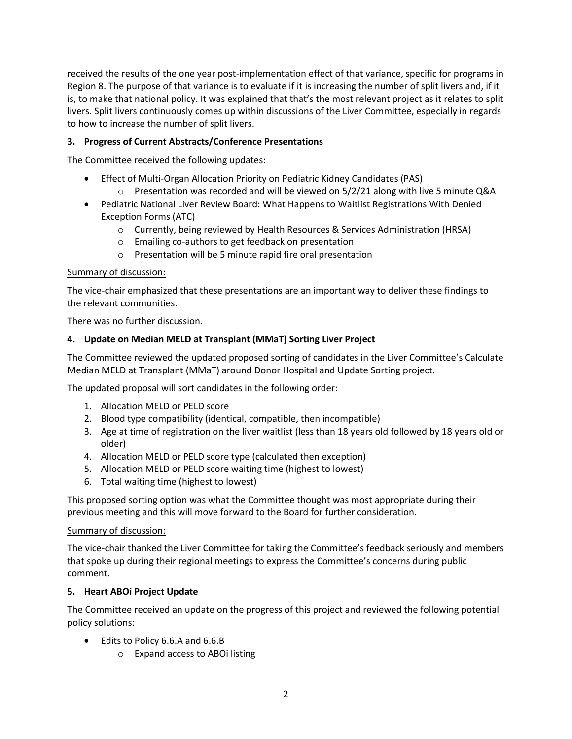received the results of the one year post-implementation effect of that variance, specific for programs in Region 8. The purpose of that variance is to evaluate if it is increasing the number of split livers and, if it is, to make that national policy. It was explained that that's the most relevant project as it relates to split livers. Split livers continuously comes up within discussions of the Liver Committee, especially in regards to how to increase the number of split livers.

# **3. Progress of Current Abstracts/Conference Presentations**

The Committee received the following updates:

- Effect of Multi-Organ Allocation Priority on Pediatric Kidney Candidates (PAS)
	- $\circ$  Presentation was recorded and will be viewed on 5/2/21 along with live 5 minute Q&A
- Pediatric National Liver Review Board: What Happens to Waitlist Registrations With Denied Exception Forms (ATC)
	- o Currently, being reviewed by Health Resources & Services Administration (HRSA)
	- o Emailing co-authors to get feedback on presentation
	- o Presentation will be 5 minute rapid fire oral presentation

## Summary of discussion:

The vice-chair emphasized that these presentations are an important way to deliver these findings to the relevant communities.

There was no further discussion.

## **4. Update on Median MELD at Transplant (MMaT) Sorting Liver Project**

The Committee reviewed the updated proposed sorting of candidates in the Liver Committee's Calculate Median MELD at Transplant (MMaT) around Donor Hospital and Update Sorting project.

The updated proposal will sort candidates in the following order:

- 1. Allocation MELD or PELD score
- 2. Blood type compatibility (identical, compatible, then incompatible)
- 3. Age at time of registration on the liver waitlist (less than 18 years old followed by 18 years old or older)
- 4. Allocation MELD or PELD score type (calculated then exception)
- 5. Allocation MELD or PELD score waiting time (highest to lowest)
- 6. Total waiting time (highest to lowest)

This proposed sorting option was what the Committee thought was most appropriate during their previous meeting and this will move forward to the Board for further consideration.

## Summary of discussion:

The vice-chair thanked the Liver Committee for taking the Committee's feedback seriously and members that spoke up during their regional meetings to express the Committee's concerns during public comment.

## **5. Heart ABOi Project Update**

The Committee received an update on the progress of this project and reviewed the following potential policy solutions:

- Edits to Policy 6.6.A and 6.6.B
	- o Expand access to ABOi listing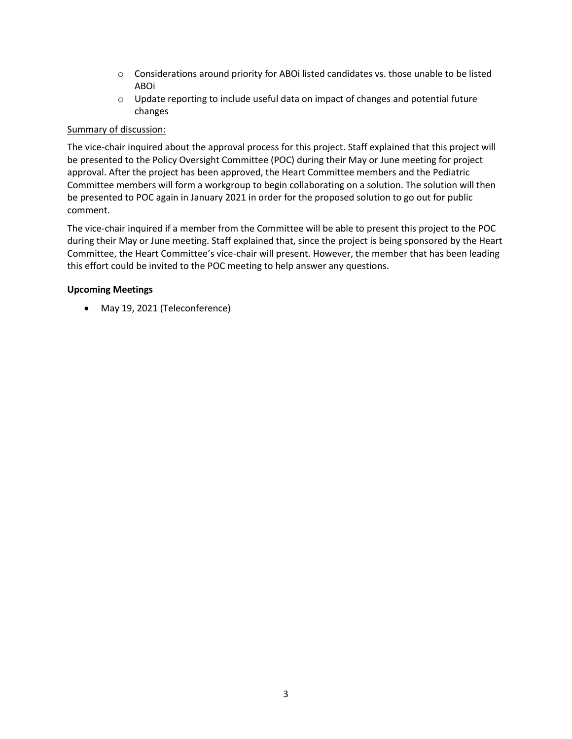- $\circ$  Considerations around priority for ABOi listed candidates vs. those unable to be listed ABOi
- $\circ$  Update reporting to include useful data on impact of changes and potential future changes

## Summary of discussion:

The vice-chair inquired about the approval process for this project. Staff explained that this project will be presented to the Policy Oversight Committee (POC) during their May or June meeting for project approval. After the project has been approved, the Heart Committee members and the Pediatric Committee members will form a workgroup to begin collaborating on a solution. The solution will then be presented to POC again in January 2021 in order for the proposed solution to go out for public comment.

The vice-chair inquired if a member from the Committee will be able to present this project to the POC during their May or June meeting. Staff explained that, since the project is being sponsored by the Heart Committee, the Heart Committee's vice-chair will present. However, the member that has been leading this effort could be invited to the POC meeting to help answer any questions.

## **Upcoming Meetings**

May 19, 2021 (Teleconference)